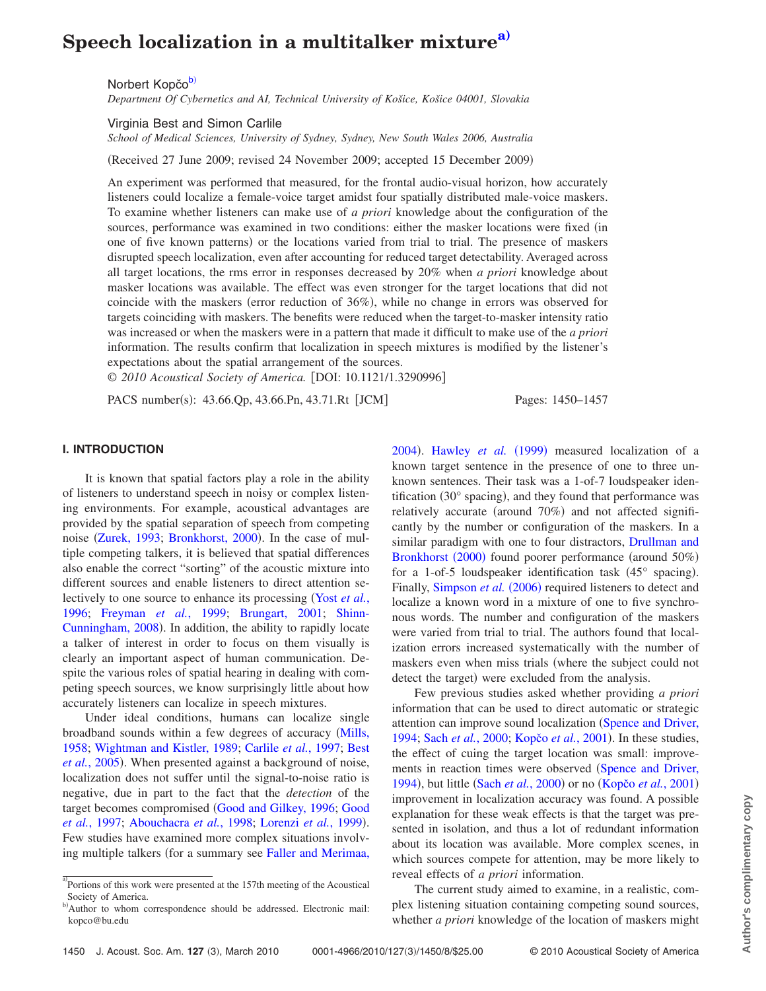# <span id="page-0-0"></span>**Speech localization in a multitalker mixtur[ea\)](#page-0-0)**

Norbert Kopčo<sup>b)</sup>

*Department Of Cybernetics and AI, Technical University of Košice, Košice 04001, Slovakia*

Virginia Best and Simon Carlile

*School of Medical Sciences, University of Sydney, Sydney, New South Wales 2006, Australia*

(Received 27 June 2009; revised 24 November 2009; accepted 15 December 2009)

An experiment was performed that measured, for the frontal audio-visual horizon, how accurately listeners could localize a female-voice target amidst four spatially distributed male-voice maskers. To examine whether listeners can make use of *a priori* knowledge about the configuration of the sources, performance was examined in two conditions: either the masker locations were fixed in one of five known patterns) or the locations varied from trial to trial. The presence of maskers disrupted speech localization, even after accounting for reduced target detectability. Averaged across all target locations, the rms error in responses decreased by 20% when *a priori* knowledge about masker locations was available. The effect was even stronger for the target locations that did not coincide with the maskers (error reduction of 36%), while no change in errors was observed for targets coinciding with maskers. The benefits were reduced when the target-to-masker intensity ratio was increased or when the maskers were in a pattern that made it difficult to make use of the *a priori* information. The results confirm that localization in speech mixtures is modified by the listener's expectations about the spatial arrangement of the sources.

© 2010 Acoustical Society of America. [DOI: 10.1121/1.3290996]

PACS number(s): 43.66.Qp, 43.66.Pn, 43.71.Rt [JCM] Pages: 1450–1457

# **I. INTRODUCTION**

It is known that spatial factors play a role in the ability of listeners to understand speech in noisy or complex listening environments. For example, acoustical advantages are provided by the spatial separation of speech from competing noise ([Zurek, 1993;](#page-7-0) [Bronkhorst, 2000](#page-6-0)). In the case of multiple competing talkers, it is believed that spatial differences also enable the correct "sorting" of the acoustic mixture into different sources and enable listeners to direct attention selectively to one source to enhance its processing (Yost *[et al.](#page-7-1)*, [1996;](#page-7-1) [Freyman](#page-6-1) *et al.*, 1999; [Brungart, 2001;](#page-6-2) [Shinn-](#page-6-3)[Cunningham, 2008](#page-6-3)). In addition, the ability to rapidly locate a talker of interest in order to focus on them visually is clearly an important aspect of human communication. Despite the various roles of spatial hearing in dealing with competing speech sources, we know surprisingly little about how accurately listeners can localize in speech mixtures.

Under ideal conditions, humans can localize single broadband sounds within a few degrees of accuracy [Mills,](#page-6-4) [1958;](#page-6-4) [Wightman and Kistler, 1989;](#page-7-2) [Carlile](#page-6-5) *et al.*, 1997; [Best](#page-6-6) et al.[, 2005](#page-6-6)). When presented against a background of noise, localization does not suffer until the signal-to-noise ratio is negative, due in part to the fact that the *detection* of the target becomes compromised [Good and Gilkey, 1996;](#page-6-7) [Good](#page-6-8) et al.[, 1997;](#page-6-8) [Abouchacra](#page-6-9) et al., 1998; [Lorenzi](#page-6-10) et al., 1999). Few studies have examined more complex situations involv-ing multiple talkers (for a summary see [Faller and Merimaa,](#page-6-11)

[2004](#page-6-11)). [Hawley](#page-6-12) et al. (1999) measured localization of a known target sentence in the presence of one to three unknown sentences. Their task was a 1-of-7 loudspeaker identification (30° spacing), and they found that performance was relatively accurate (around 70%) and not affected significantly by the number or configuration of the maskers. In a similar paradigm with one to four distractors, [Drullman and](#page-6-13) [Bronkhorst](#page-6-13) (2000) found poorer performance (around 50%) for a 1-of-5 loudspeaker identification task  $(45^{\circ}$  spacing). Finally, [Simpson](#page-6-14) et al. (2006) required listeners to detect and localize a known word in a mixture of one to five synchronous words. The number and configuration of the maskers were varied from trial to trial. The authors found that localization errors increased systematically with the number of maskers even when miss trials (where the subject could not detect the target) were excluded from the analysis.

Few previous studies asked whether providing *a priori* information that can be used to direct automatic or strategic attention can improve sound localization ([Spence and Driver,](#page-7-3) [1994;](#page-7-3) Sach et al.[, 2000;](#page-6-15) Kopčo et al.[, 2001](#page-6-16)). In these studies, the effect of cuing the target location was small: improve-ments in reaction times were observed ([Spence and Driver,](#page-7-3) [1994](#page-7-3)), but little (Sach et al.[, 2000](#page-6-15)) or no (Kopčo et al.[, 2001](#page-6-16)) improvement in localization accuracy was found. A possible explanation for these weak effects is that the target was presented in isolation, and thus a lot of redundant information about its location was available. More complex scenes, in which sources compete for attention, may be more likely to reveal effects of *a priori* information.

The current study aimed to examine, in a realistic, complex listening situation containing competing sound sources, whether *a priori* knowledge of the location of maskers might

a)<br>Portions of this work were presented at the 157th meeting of the Acoustical Society of America.

<span id="page-0-1"></span>b)Author to whom correspondence should be addressed. Electronic mail: kopco@bu.edu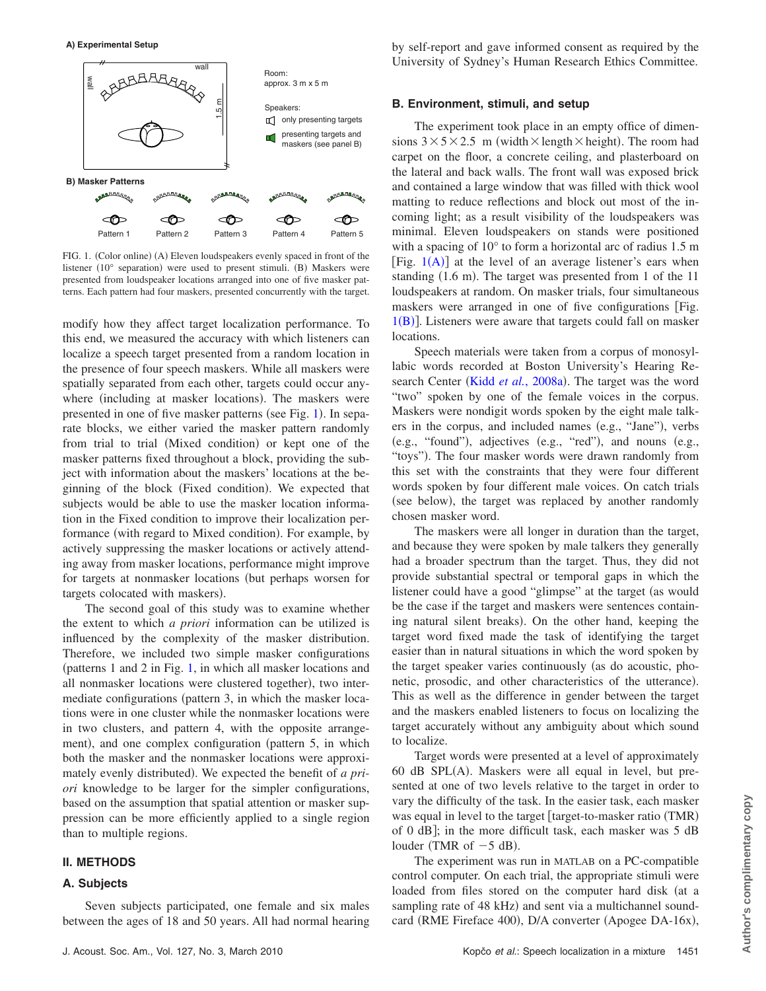<span id="page-1-0"></span>**A) Experimental Setup**



FIG. 1. (Color online) (A) Eleven loudspeakers evenly spaced in front of the listener (10° separation) were used to present stimuli. (B) Maskers were presented from loudspeaker locations arranged into one of five masker patterns. Each pattern had four maskers, presented concurrently with the target.

modify how they affect target localization performance. To this end, we measured the accuracy with which listeners can localize a speech target presented from a random location in the presence of four speech maskers. While all maskers were spatially separated from each other, targets could occur anywhere (including at masker locations). The maskers were presented in one of five masker patterns (see Fig. [1](#page-1-0)). In separate blocks, we either varied the masker pattern randomly from trial to trial (Mixed condition) or kept one of the masker patterns fixed throughout a block, providing the subject with information about the maskers' locations at the beginning of the block (Fixed condition). We expected that subjects would be able to use the masker location information in the Fixed condition to improve their localization performance (with regard to Mixed condition). For example, by actively suppressing the masker locations or actively attending away from masker locations, performance might improve for targets at nonmasker locations (but perhaps worsen for targets colocated with maskers).

The second goal of this study was to examine whether the extent to which *a priori* information can be utilized is influenced by the complexity of the masker distribution. Therefore, we included two simple masker configurations patterns 1 and 2 in Fig. [1,](#page-1-0) in which all masker locations and all nonmasker locations were clustered together), two intermediate configurations (pattern 3, in which the masker locations were in one cluster while the nonmasker locations were in two clusters, and pattern 4, with the opposite arrangement), and one complex configuration (pattern 5, in which both the masker and the nonmasker locations were approximately evenly distributed). We expected the benefit of *a priori* knowledge to be larger for the simpler configurations, based on the assumption that spatial attention or masker suppression can be more efficiently applied to a single region than to multiple regions.

# **II. METHODS**

# **A. Subjects**

Seven subjects participated, one female and six males between the ages of 18 and 50 years. All had normal hearing by self-report and gave informed consent as required by the University of Sydney's Human Research Ethics Committee.

# **B. Environment, stimuli, and setup**

The experiment took place in an empty office of dimensions  $3 \times 5 \times 2.5$  m (width  $\times$  length  $\times$  height). The room had carpet on the floor, a concrete ceiling, and plasterboard on the lateral and back walls. The front wall was exposed brick and contained a large window that was filled with thick wool matting to reduce reflections and block out most of the incoming light; as a result visibility of the loudspeakers was minimal. Eleven loudspeakers on stands were positioned with a spacing of  $10^{\circ}$  to form a horizontal arc of radius 1.5 m [Fig.  $1(A)$  $1(A)$  $1(A)$ ] at the level of an average listener's ears when standing (1.6 m). The target was presented from 1 of the 11 loudspeakers at random. On masker trials, four simultaneous maskers were arranged in one of five configurations Fig.  $1(B)$  $1(B)$  $1(B)$ ]. Listeners were aware that targets could fall on masker locations.

Speech materials were taken from a corpus of monosyllabic words recorded at Boston University's Hearing Re-search Center (Kidd et al.[, 2008a](#page-6-17)). The target was the word "two" spoken by one of the female voices in the corpus. Maskers were nondigit words spoken by the eight male talkers in the corpus, and included names (e.g., "Jane"), verbs (e.g., "found"), adjectives (e.g., "red"), and nouns (e.g., "toys"). The four masker words were drawn randomly from this set with the constraints that they were four different words spoken by four different male voices. On catch trials (see below), the target was replaced by another randomly chosen masker word.

The maskers were all longer in duration than the target, and because they were spoken by male talkers they generally had a broader spectrum than the target. Thus, they did not provide substantial spectral or temporal gaps in which the listener could have a good "glimpse" at the target (as would be the case if the target and maskers were sentences containing natural silent breaks). On the other hand, keeping the target word fixed made the task of identifying the target easier than in natural situations in which the word spoken by the target speaker varies continuously (as do acoustic, phonetic, prosodic, and other characteristics of the utterance). This as well as the difference in gender between the target and the maskers enabled listeners to focus on localizing the target accurately without any ambiguity about which sound to localize.

Target words were presented at a level of approximately 60 dB SPL(A). Maskers were all equal in level, but presented at one of two levels relative to the target in order to vary the difficulty of the task. In the easier task, each masker was equal in level to the target [target-to-masker ratio (TMR) of 0 dB]; in the more difficult task, each masker was 5 dB louder (TMR of  $-5$  dB).

The experiment was run in MATLAB on a PC-compatible control computer. On each trial, the appropriate stimuli were loaded from files stored on the computer hard disk (at a sampling rate of 48 kHz) and sent via a multichannel soundcard (RME Fireface 400), D/A converter (Apogee DA-16x),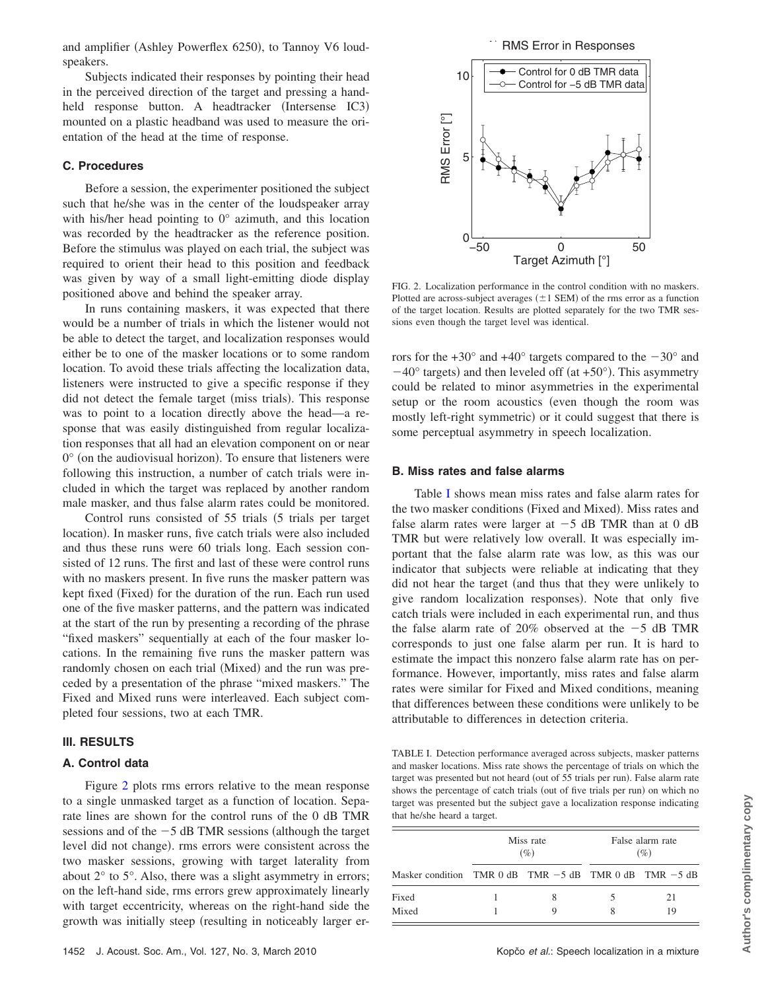and amplifier (Ashley Powerflex 6250), to Tannoy V6 loudspeakers.

Subjects indicated their responses by pointing their head in the perceived direction of the target and pressing a handheld response button. A headtracker (Intersense IC3) mounted on a plastic headband was used to measure the orientation of the head at the time of response.

# **C. Procedures**

Before a session, the experimenter positioned the subject such that he/she was in the center of the loudspeaker array with his/her head pointing to 0° azimuth, and this location was recorded by the headtracker as the reference position. Before the stimulus was played on each trial, the subject was required to orient their head to this position and feedback was given by way of a small light-emitting diode display positioned above and behind the speaker array.

In runs containing maskers, it was expected that there would be a number of trials in which the listener would not be able to detect the target, and localization responses would either be to one of the masker locations or to some random location. To avoid these trials affecting the localization data, listeners were instructed to give a specific response if they did not detect the female target (miss trials). This response was to point to a location directly above the head—a response that was easily distinguished from regular localization responses that all had an elevation component on or near  $0^{\circ}$  (on the audiovisual horizon). To ensure that listeners were following this instruction, a number of catch trials were included in which the target was replaced by another random male masker, and thus false alarm rates could be monitored.

Control runs consisted of  $55$  trials  $(5 \text{ trials per target})$ location). In masker runs, five catch trials were also included and thus these runs were 60 trials long. Each session consisted of 12 runs. The first and last of these were control runs with no maskers present. In five runs the masker pattern was kept fixed (Fixed) for the duration of the run. Each run used one of the five masker patterns, and the pattern was indicated at the start of the run by presenting a recording of the phrase "fixed maskers" sequentially at each of the four masker locations. In the remaining five runs the masker pattern was randomly chosen on each trial (Mixed) and the run was preceded by a presentation of the phrase "mixed maskers." The Fixed and Mixed runs were interleaved. Each subject completed four sessions, two at each TMR.

#### **III. RESULTS**

## **A. Control data**

Figure [2](#page-2-0) plots rms errors relative to the mean response to a single unmasked target as a function of location. Separate lines are shown for the control runs of the 0 dB TMR sessions and of the  $-5$  dB TMR sessions (although the target level did not change). rms errors were consistent across the two masker sessions, growing with target laterality from about 2° to 5°. Also, there was a slight asymmetry in errors; on the left-hand side, rms errors grew approximately linearly with target eccentricity, whereas on the right-hand side the growth was initially steep (resulting in noticeably larger er-

<span id="page-2-0"></span>

FIG. 2. Localization performance in the control condition with no maskers. Plotted are across-subject averages  $(\pm 1$  SEM) of the rms error as a function of the target location. Results are plotted separately for the two TMR sessions even though the target level was identical.

rors for the  $+30^{\circ}$  and  $+40^{\circ}$  targets compared to the  $-30^{\circ}$  and  $-40^{\circ}$  targets) and then leveled off (at +50°). This asymmetry could be related to minor asymmetries in the experimental setup or the room acoustics (even though the room was mostly left-right symmetric) or it could suggest that there is some perceptual asymmetry in speech localization.

#### **B. Miss rates and false alarms**

Table [I](#page-2-1) shows mean miss rates and false alarm rates for the two masker conditions (Fixed and Mixed). Miss rates and false alarm rates were larger at  $-5$  dB TMR than at 0 dB TMR but were relatively low overall. It was especially important that the false alarm rate was low, as this was our indicator that subjects were reliable at indicating that they did not hear the target (and thus that they were unlikely to give random localization responses). Note that only five catch trials were included in each experimental run, and thus the false alarm rate of  $20\%$  observed at the  $-5$  dB TMR corresponds to just one false alarm per run. It is hard to estimate the impact this nonzero false alarm rate has on performance. However, importantly, miss rates and false alarm rates were similar for Fixed and Mixed conditions, meaning that differences between these conditions were unlikely to be attributable to differences in detection criteria.

<span id="page-2-1"></span>TABLE I. Detection performance averaged across subjects, masker patterns and masker locations. Miss rate shows the percentage of trials on which the target was presented but not heard (out of 55 trials per run). False alarm rate shows the percentage of catch trials (out of five trials per run) on which no target was presented but the subject gave a localization response indicating that he/she heard a target.

|                                                            | Miss rate<br>$(\%)$ |  | False alarm rate<br>$(\%)$ |    |  |
|------------------------------------------------------------|---------------------|--|----------------------------|----|--|
| Masker condition TMR 0 dB TMR $-5$ dB TMR 0 dB TMR $-5$ dB |                     |  |                            |    |  |
| Fixed                                                      |                     |  |                            | 21 |  |
| Mixed                                                      |                     |  |                            | 19 |  |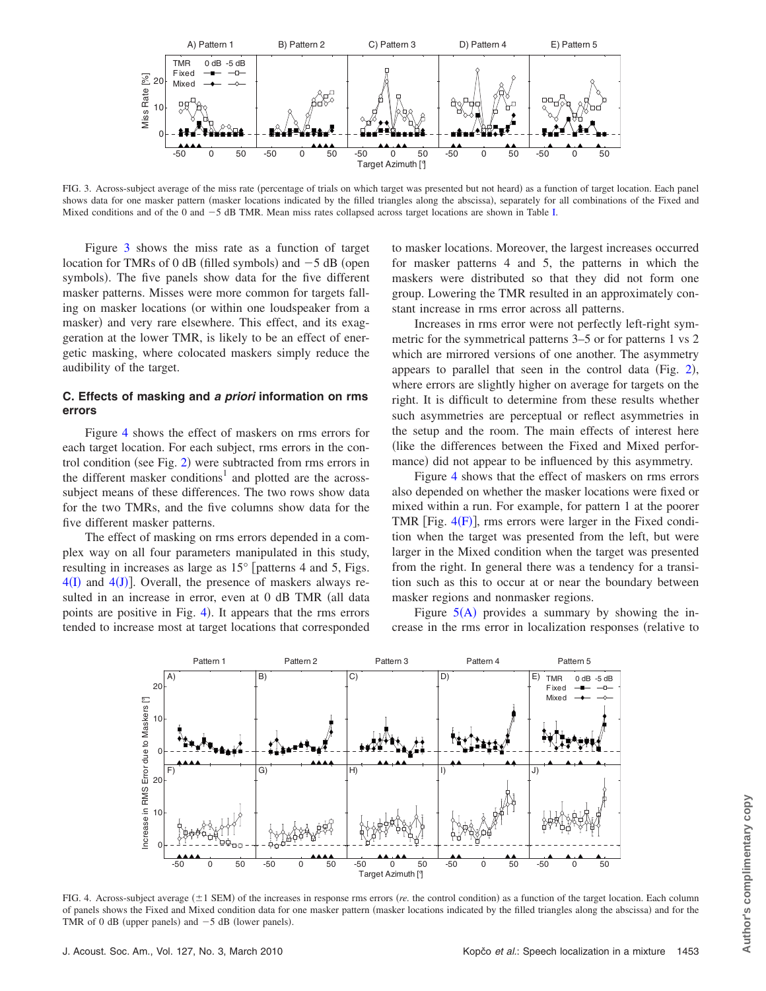<span id="page-3-0"></span>

FIG. 3. Across-subject average of the miss rate (percentage of trials on which target was presented but not heard) as a function of target location. Each panel shows data for one masker pattern (masker locations indicated by the filled triangles along the abscissa), separately for all combinations of the Fixed and Mixed conditions and of the 0 and  $-5$  dB TMR. Mean miss rates collapsed across target locations are shown in Table [I.](#page-2-1)

Figure [3](#page-3-0) shows the miss rate as a function of target location for TMRs of  $0$  dB (filled symbols) and  $-5$  dB (open symbols). The five panels show data for the five different masker patterns. Misses were more common for targets falling on masker locations (or within one loudspeaker from a masker) and very rare elsewhere. This effect, and its exaggeration at the lower TMR, is likely to be an effect of energetic masking, where colocated maskers simply reduce the audibility of the target.

# **C. Effects of masking and** *a priori* **information on rms errors**

Figure [4](#page-3-1) shows the effect of maskers on rms errors for each target location. For each subject, rms errors in the con-trol condition (see Fig. [2](#page-2-0)) were subtracted from rms errors in the different masker conditions<sup>1</sup> and plotted are the acrosssubject means of these differences. The two rows show data for the two TMRs, and the five columns show data for the five different masker patterns.

The effect of masking on rms errors depended in a complex way on all four parameters manipulated in this study, resulting in increases as large as  $15^{\circ}$  [patterns 4 and 5, Figs.  $4(I)$  $4(I)$  and  $4(J)$ ]. Overall, the presence of maskers always resulted in an increase in error, even at 0 dB TMR (all data points are positive in Fig. [4](#page-3-1)). It appears that the rms errors tended to increase most at target locations that corresponded to masker locations. Moreover, the largest increases occurred for masker patterns 4 and 5, the patterns in which the maskers were distributed so that they did not form one group. Lowering the TMR resulted in an approximately constant increase in rms error across all patterns.

Increases in rms error were not perfectly left-right symmetric for the symmetrical patterns 3–5 or for patterns 1 vs 2 which are mirrored versions of one another. The asymmetry appears to parallel that seen in the control data (Fig.  $2$ ), where errors are slightly higher on average for targets on the right. It is difficult to determine from these results whether such asymmetries are perceptual or reflect asymmetries in the setup and the room. The main effects of interest here like the differences between the Fixed and Mixed performance) did not appear to be influenced by this asymmetry.

Figure [4](#page-3-1) shows that the effect of maskers on rms errors also depended on whether the masker locations were fixed or mixed within a run. For example, for pattern 1 at the poorer TMR [[F](#page-3-1)ig.  $4(F)$ ], rms errors were larger in the Fixed condition when the target was presented from the left, but were larger in the Mixed condition when the target was presented from the right. In general there was a tendency for a transition such as this to occur at or near the boundary between masker regions and nonmasker regions.

Figure  $5(A)$  $5(A)$  $5(A)$  provides a summary by showing the increase in the rms error in localization responses (relative to

<span id="page-3-1"></span>

FIG. 4. Across-subject average (±1 SEM) of the increases in response rms errors (re. the control condition) as a function of the target location. Each column of panels shows the Fixed and Mixed condition data for one masker pattern (masker locations indicated by the filled triangles along the abscissa) and for the TMR of 0 dB (upper panels) and  $-5$  dB (lower panels).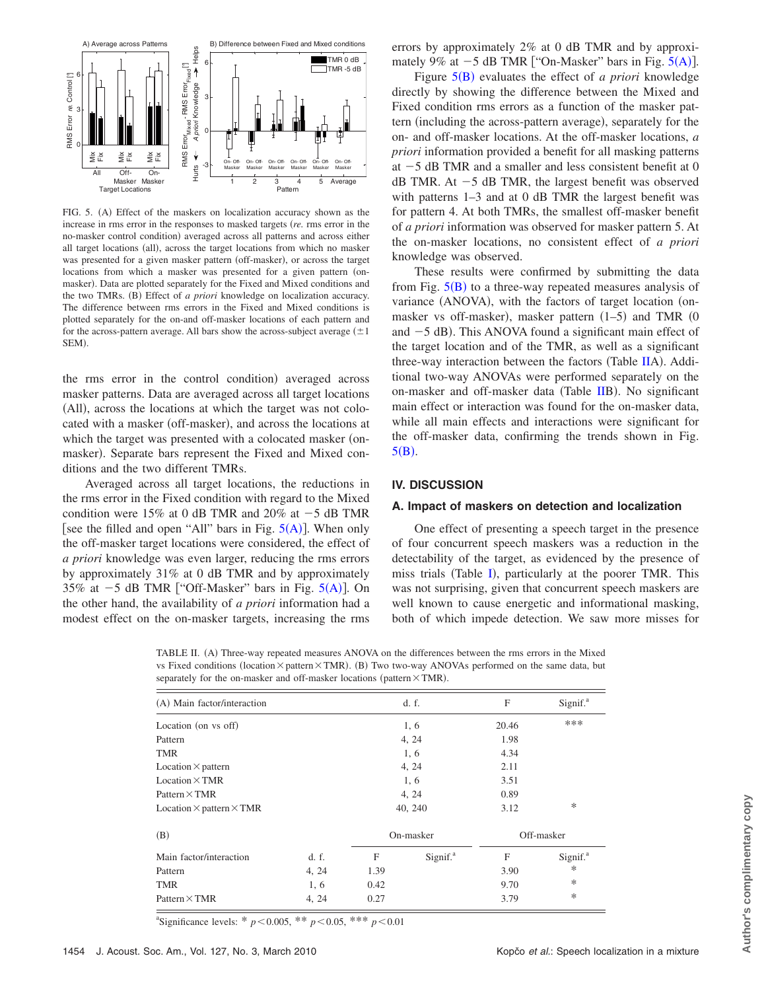<span id="page-4-0"></span>

FIG. 5. (A) Effect of the maskers on localization accuracy shown as the increase in rms error in the responses to masked targets *(re.* rms error in the no-masker control condition) averaged across all patterns and across either all target locations (all), across the target locations from which no masker was presented for a given masker pattern (off-masker), or across the target locations from which a masker was presented for a given pattern (onmasker). Data are plotted separately for the Fixed and Mixed conditions and the two TMRs. (B) Effect of *a priori* knowledge on localization accuracy. The difference between rms errors in the Fixed and Mixed conditions is plotted separately for the on-and off-masker locations of each pattern and for the across-pattern average. All bars show the across-subject average  $(\pm 1)$ SEM).

the rms error in the control condition) averaged across masker patterns. Data are averaged across all target locations (All), across the locations at which the target was not colocated with a masker (off-masker), and across the locations at which the target was presented with a colocated masker (onmasker). Separate bars represent the Fixed and Mixed conditions and the two different TMRs.

Averaged across all target locations, the reductions in the rms error in the Fixed condition with regard to the Mixed condition were  $15\%$  at 0 dB TMR and  $20\%$  at  $-5$  dB TMR [see the filled and open "[A](#page-4-0)ll" bars in Fig.  $5(A)$ ]. When only the off-masker target locations were considered, the effect of *a priori* knowledge was even larger, reducing the rms errors by approximately 31% at 0 dB TMR and by approximately 35% at  $-5$  dB TMR ["Off-Masker" bars in Fig.  $5(A)$  $5(A)$  $5(A)$ ]. On the other hand, the availability of *a priori* information had a modest effect on the on-masker targets, increasing the rms errors by approximately 2% at 0 dB TMR and by approximately 9% at  $-5$  dB TMR ["On-Masker" bars in Fig.  $5(A)$  $5(A)$  $5(A)$ ].

Figure 5([B](#page-4-0)) evaluates the effect of *a priori* knowledge directly by showing the difference between the Mixed and Fixed condition rms errors as a function of the masker pattern (including the across-pattern average), separately for the on- and off-masker locations. At the off-masker locations, *a priori* information provided a benefit for all masking patterns at  $-5$  dB TMR and a smaller and less consistent benefit at 0  $dB$  TMR. At  $-5$  dB TMR, the largest benefit was observed with patterns 1–3 and at 0 dB TMR the largest benefit was for pattern 4. At both TMRs, the smallest off-masker benefit of *a priori* information was observed for masker pattern 5. At the on-masker locations, no consistent effect of *a priori* knowledge was observed.

These results were confirmed by submitting the data from Fig.  $5(B)$  $5(B)$  $5(B)$  to a three-way repeated measures analysis of variance (ANOVA), with the factors of target location (onmasker vs off-masker), masker pattern  $(1-5)$  and TMR  $(0)$ and  $-5$  dB). This ANOVA found a significant main effect of the target location and of the TMR, as well as a significant three-way interaction between the factors (Table [IIA](#page-4-1)). Additional two-way ANOVAs were performed separately on the on-masker and off-masker data (Table [IIB](#page-4-1)). No significant main effect or interaction was found for the on-masker data, while all main effects and interactions were significant for the off-masker data, confirming the trends shown in Fig.  $5(B)$  $5(B)$  $5(B)$ .

# **IV. DISCUSSION**

#### **A. Impact of maskers on detection and localization**

One effect of presenting a speech target in the presence of four concurrent speech maskers was a reduction in the detectability of the target, as evidenced by the presence of miss trials (Table [I](#page-2-1)), particularly at the poorer TMR. This was not surprising, given that concurrent speech maskers are well known to cause energetic and informational masking, both of which impede detection. We saw more misses for

<span id="page-4-1"></span>TABLE II. (A) Three-way repeated measures ANOVA on the differences between the rms errors in the Mixed vs Fixed conditions (location  $\times$  pattern  $\times$  TMR). (B) Two two-way ANOVAs performed on the same data, but separately for the on-masker and off-masker locations (pattern $\times$ TMR).

| (A) Main factor/interaction            |       | d. f.     |                      | F          | Signif. <sup>a</sup> |
|----------------------------------------|-------|-----------|----------------------|------------|----------------------|
| Location (on vs off)                   |       | 1, 6      |                      | 20.46      | ***                  |
| Pattern                                |       | 4, 24     |                      | 1.98       |                      |
| <b>TMR</b>                             |       | 1, 6      |                      | 4.34       |                      |
| Location $\times$ pattern              |       | 4, 24     |                      | 2.11       |                      |
| $Location \times TMR$                  |       | 1, 6      |                      | 3.51       |                      |
| $Pattern \times TMR$                   |       | 4, 24     |                      | 0.89       |                      |
| Location $\times$ pattern $\times$ TMR |       | 40, 240   |                      | 3.12       | $\ast$               |
| (B)                                    |       | On-masker |                      | Off-masker |                      |
| Main factor/interaction                | d. f. | F         | Signif. <sup>a</sup> | F          | Signif. <sup>a</sup> |
| Pattern                                | 4, 24 | 1.39      |                      | 3.90       | $\ast$               |
| <b>TMR</b>                             | 1, 6  | 0.42      |                      | 9.70       | $\ast$               |
| $Pattern \times TMR$                   | 4, 24 | 0.27      |                      | 3.79       | $\ast$               |

 $\text{``Significance levels:}$  \* *p* < 0.005, \*\* *p* < 0.05, \*\*\* *p* < 0.01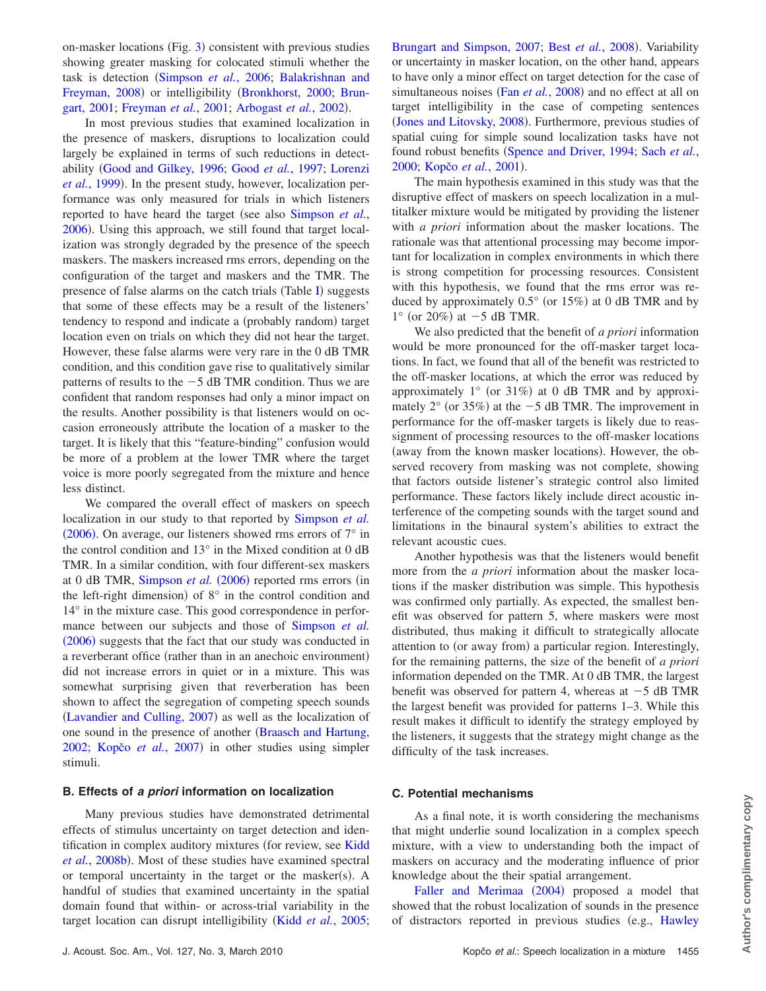on-masker locations (Fig. [3](#page-3-0)) consistent with previous studies showing greater masking for colocated stimuli whether the task is detection ([Simpson](#page-6-14) *et al.*, 2006; [Balakrishnan and](#page-6-18) [Freyman, 2008](#page-6-18)) or intelligibility ([Bronkhorst, 2000;](#page-6-0) [Brun](#page-6-2)[gart, 2001;](#page-6-2) [Freyman](#page-6-19) et al., 2001; [Arbogast](#page-6-20) et al., 2002).

In most previous studies that examined localization in the presence of maskers, disruptions to localization could largely be explained in terms of such reductions in detectability [Good and Gilkey, 1996;](#page-6-7) Good *et al.*[, 1997;](#page-6-8) [Lorenzi](#page-6-10) et al.[, 1999](#page-6-10)). In the present study, however, localization performance was only measured for trials in which listeners reported to have heard the target (see also **[Simpson](#page-6-14)** *et al.*, [2006](#page-6-14)). Using this approach, we still found that target localization was strongly degraded by the presence of the speech maskers. The maskers increased rms errors, depending on the configuration of the target and maskers and the TMR. The presence of false alarms on the catch trials (Table [I](#page-2-1)) suggests that some of these effects may be a result of the listeners' tendency to respond and indicate a (probably random) target location even on trials on which they did not hear the target. However, these false alarms were very rare in the 0 dB TMR condition, and this condition gave rise to qualitatively similar patterns of results to the  $-5$  dB TMR condition. Thus we are confident that random responses had only a minor impact on the results. Another possibility is that listeners would on occasion erroneously attribute the location of a masker to the target. It is likely that this "feature-binding" confusion would be more of a problem at the lower TMR where the target voice is more poorly segregated from the mixture and hence less distinct.

We compared the overall effect of maskers on speech localization in our study to that reported by [Simpson](#page-6-14) *et al.* ([2006](#page-6-14)). On average, our listeners showed rms errors of  $7^\circ$  in the control condition and 13° in the Mixed condition at 0 dB TMR. In a similar condition, with four different-sex maskers at 0 dB TMR, [Simpson](#page-6-14) et al. (2006) reported rms errors (in the left-right dimension) of  $8^\circ$  in the control condition and 14° in the mixture case. This good correspondence in performance between our subjects and those of [Simpson](#page-6-14) *et al.* ([2006](#page-6-14)) suggests that the fact that our study was conducted in a reverberant office (rather than in an anechoic environment) did not increase errors in quiet or in a mixture. This was somewhat surprising given that reverberation has been shown to affect the segregation of competing speech sounds ([Lavandier and Culling, 2007](#page-6-21)) as well as the localization of one sound in the presence of another ([Braasch and Hartung,](#page-6-22) [2002;](#page-6-22) Kopčo et al.[, 2007](#page-6-23)) in other studies using simpler stimuli.

# **B. Effects of** *a priori* **information on localization**

Many previous studies have demonstrated detrimental effects of stimulus uncertainty on target detection and iden-tification in complex auditory mixtures (for review, see [Kidd](#page-6-24) et al.[, 2008b](#page-6-24)). Most of these studies have examined spectral or temporal uncertainty in the target or the masker(s). A handful of studies that examined uncertainty in the spatial domain found that within- or across-trial variability in the target location can disrupt intelligibility (Kidd *et al.*[, 2005;](#page-6-25)

[Brungart and Simpson, 2007;](#page-6-26) Best et al.[, 2008](#page-6-27)). Variability or uncertainty in masker location, on the other hand, appears to have only a minor effect on target detection for the case of simultaneous noises (Fan *et al.*[, 2008](#page-6-28)) and no effect at all on target intelligibility in the case of competing sentences ([Jones and Litovsky, 2008](#page-6-29)). Furthermore, previous studies of spatial cuing for simple sound localization tasks have not found robust benefits ([Spence and Driver, 1994;](#page-7-3) Sach [et al.](#page-6-15), [2000;](#page-6-15) Kopčo et al.[, 2001](#page-6-16)).

The main hypothesis examined in this study was that the disruptive effect of maskers on speech localization in a multitalker mixture would be mitigated by providing the listener with *a priori* information about the masker locations. The rationale was that attentional processing may become important for localization in complex environments in which there is strong competition for processing resources. Consistent with this hypothesis, we found that the rms error was reduced by approximately  $0.5^{\circ}$  (or  $15\%$ ) at 0 dB TMR and by  $1^{\circ}$  (or 20%) at  $-5$  dB TMR.

We also predicted that the benefit of *a priori* information would be more pronounced for the off-masker target locations. In fact, we found that all of the benefit was restricted to the off-masker locations, at which the error was reduced by approximately  $1^{\circ}$  (or 31%) at 0 dB TMR and by approximately  $2^{\circ}$  (or 35%) at the  $-5$  dB TMR. The improvement in performance for the off-masker targets is likely due to reassignment of processing resources to the off-masker locations (away from the known masker locations). However, the observed recovery from masking was not complete, showing that factors outside listener's strategic control also limited performance. These factors likely include direct acoustic interference of the competing sounds with the target sound and limitations in the binaural system's abilities to extract the relevant acoustic cues.

Another hypothesis was that the listeners would benefit more from the *a priori* information about the masker locations if the masker distribution was simple. This hypothesis was confirmed only partially. As expected, the smallest benefit was observed for pattern 5, where maskers were most distributed, thus making it difficult to strategically allocate attention to (or away from) a particular region. Interestingly, for the remaining patterns, the size of the benefit of *a priori* information depended on the TMR. At 0 dB TMR, the largest benefit was observed for pattern 4, whereas at  $-5$  dB TMR the largest benefit was provided for patterns 1–3. While this result makes it difficult to identify the strategy employed by the listeners, it suggests that the strategy might change as the difficulty of the task increases.

## **C. Potential mechanisms**

As a final note, it is worth considering the mechanisms that might underlie sound localization in a complex speech mixture, with a view to understanding both the impact of maskers on accuracy and the moderating influence of prior knowledge about the their spatial arrangement.

[Faller and Merimaa](#page-6-11) (2004) proposed a model that showed that the robust localization of sounds in the presence of distractors reported in previous studies (e.g., [Hawley](#page-6-12)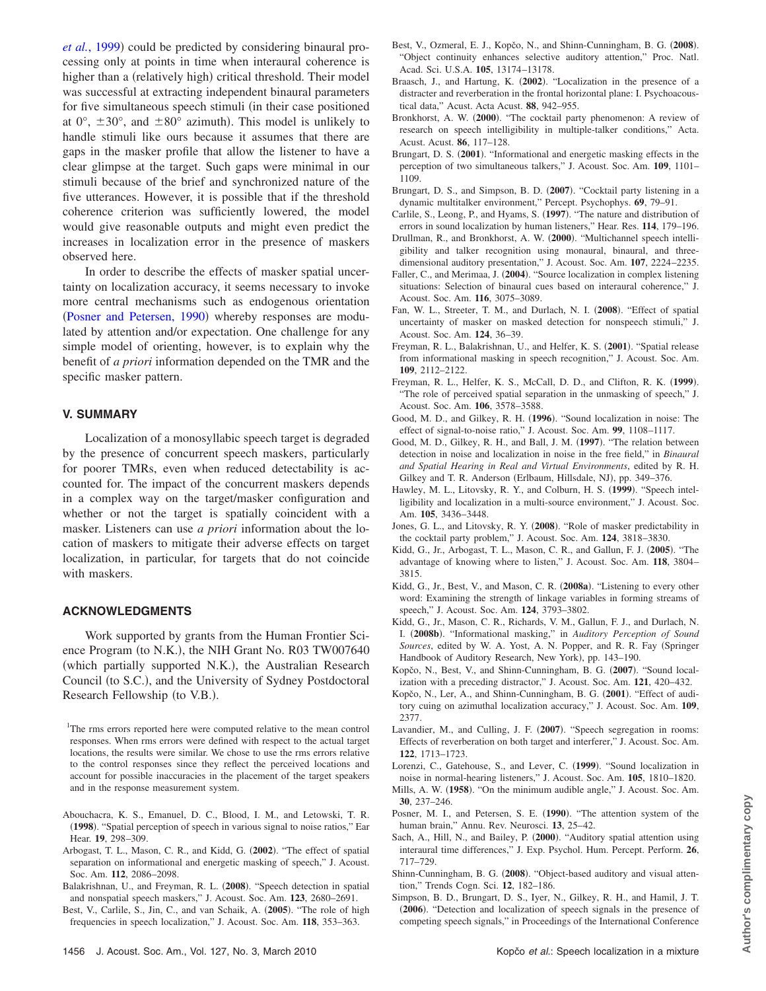et al.[, 1999](#page-6-12)) could be predicted by considering binaural processing only at points in time when interaural coherence is higher than a (relatively high) critical threshold. Their model was successful at extracting independent binaural parameters for five simultaneous speech stimuli (in their case positioned at  $0^{\circ}$ ,  $\pm 30^{\circ}$ , and  $\pm 80^{\circ}$  azimuth). This model is unlikely to handle stimuli like ours because it assumes that there are gaps in the masker profile that allow the listener to have a clear glimpse at the target. Such gaps were minimal in our stimuli because of the brief and synchronized nature of the five utterances. However, it is possible that if the threshold coherence criterion was sufficiently lowered, the model would give reasonable outputs and might even predict the increases in localization error in the presence of maskers observed here.

In order to describe the effects of masker spatial uncertainty on localization accuracy, it seems necessary to invoke more central mechanisms such as endogenous orientation ([Posner and Petersen, 1990](#page-6-30)) whereby responses are modulated by attention and/or expectation. One challenge for any simple model of orienting, however, is to explain why the benefit of *a priori* information depended on the TMR and the specific masker pattern.

# **V. SUMMARY**

Localization of a monosyllabic speech target is degraded by the presence of concurrent speech maskers, particularly for poorer TMRs, even when reduced detectability is accounted for. The impact of the concurrent maskers depends in a complex way on the target/masker configuration and whether or not the target is spatially coincident with a masker. Listeners can use *a priori* information about the location of maskers to mitigate their adverse effects on target localization, in particular, for targets that do not coincide with maskers.

# **ACKNOWLEDGMENTS**

Work supported by grants from the Human Frontier Science Program (to N.K.), the NIH Grant No. R03 TW007640 (which partially supported N.K.), the Australian Research Council (to S.C.), and the University of Sydney Postdoctoral Research Fellowship (to V.B.).

- <span id="page-6-9"></span>Abouchacra, K. S., Emanuel, D. C., Blood, I. M., and Letowski, T. R. **1998**-. "Spatial perception of speech in various signal to noise ratios," Ear Hear. **19**, 298–309.
- <span id="page-6-20"></span>Arbogast, T. L., Mason, C. R., and Kidd, G. (2002). "The effect of spatial separation on informational and energetic masking of speech," J. Acoust. Soc. Am. **112**, 2086–2098.
- <span id="page-6-18"></span>Balakrishnan, U., and Freyman, R. L. (2008). "Speech detection in spatial and nonspatial speech maskers," J. Acoust. Soc. Am. **123**, 2680–2691.
- <span id="page-6-6"></span>Best, V., Carlile, S., Jin, C., and van Schaik, A. (2005). "The role of high frequencies in speech localization," J. Acoust. Soc. Am. **118**, 353–363.
- <span id="page-6-27"></span>Best, V., Ozmeral, E. J., Kopčo, N., and Shinn-Cunningham, B. G. **2008**-. "Object continuity enhances selective auditory attention," Proc. Natl. Acad. Sci. U.S.A. **105**, 13174–13178.
- <span id="page-6-22"></span>Braasch, J., and Hartung, K. (2002). "Localization in the presence of a distracter and reverberation in the frontal horizontal plane: I. Psychoacoustical data," Acust. Acta Acust. **88**, 942–955.
- <span id="page-6-0"></span>Bronkhorst, A. W. (2000). "The cocktail party phenomenon: A review of research on speech intelligibility in multiple-talker conditions," Acta. Acust. Acust. **86**, 117–128.
- <span id="page-6-2"></span>Brungart, D. S. (2001). "Informational and energetic masking effects in the perception of two simultaneous talkers," J. Acoust. Soc. Am. **109**, 1101– 1109.
- <span id="page-6-26"></span>Brungart, D. S., and Simpson, B. D. (2007). "Cocktail party listening in a dynamic multitalker environment," Percept. Psychophys. **69**, 79–91.
- <span id="page-6-5"></span>Carlile, S., Leong, P., and Hyams, S. **1997**-. "The nature and distribution of errors in sound localization by human listeners," Hear. Res. **114**, 179–196.
- <span id="page-6-13"></span>Drullman, R., and Bronkhorst, A. W. (2000). "Multichannel speech intelligibility and talker recognition using monaural, binaural, and threedimensional auditory presentation," J. Acoust. Soc. Am. **107**, 2224–2235.
- <span id="page-6-11"></span>Faller, C., and Merimaa, J. (2004). "Source localization in complex listening situations: Selection of binaural cues based on interaural coherence," J. Acoust. Soc. Am. **116**, 3075–3089.
- <span id="page-6-28"></span>Fan, W. L., Streeter, T. M., and Durlach, N. I. (2008). "Effect of spatial uncertainty of masker on masked detection for nonspeech stimuli," J. Acoust. Soc. Am. **124**, 36–39.
- <span id="page-6-19"></span>Freyman, R. L., Balakrishnan, U., and Helfer, K. S. (2001). "Spatial release from informational masking in speech recognition," J. Acoust. Soc. Am. **109**, 2112–2122.
- <span id="page-6-1"></span>Freyman, R. L., Helfer, K. S., McCall, D. D., and Clifton, R. K. (1999). "The role of perceived spatial separation in the unmasking of speech," J. Acoust. Soc. Am. **106**, 3578–3588.
- <span id="page-6-7"></span>Good, M. D., and Gilkey, R. H. (1996). "Sound localization in noise: The effect of signal-to-noise ratio," J. Acoust. Soc. Am. **99**, 1108–1117.
- <span id="page-6-8"></span>Good, M. D., Gilkey, R. H., and Ball, J. M. (1997). "The relation between detection in noise and localization in noise in the free field," in *Binaural and Spatial Hearing in Real and Virtual Environments*, edited by R. H. Gilkey and T. R. Anderson (Erlbaum, Hillsdale, NJ), pp. 349-376.
- <span id="page-6-12"></span>Hawley, M. L., Litovsky, R. Y., and Colburn, H. S. (1999). "Speech intelligibility and localization in a multi-source environment," J. Acoust. Soc. Am. **105**, 3436–3448.
- <span id="page-6-29"></span>Jones, G. L., and Litovsky, R. Y. (2008). "Role of masker predictability in the cocktail party problem," J. Acoust. Soc. Am. **124**, 3818–3830.
- <span id="page-6-25"></span>Kidd, G., Jr., Arbogast, T. L., Mason, C. R., and Gallun, F. J. (2005). "The advantage of knowing where to listen," J. Acoust. Soc. Am. **118**, 3804– 3815.
- <span id="page-6-17"></span>Kidd, G., Jr., Best, V., and Mason, C. R. (2008a). "Listening to every other word: Examining the strength of linkage variables in forming streams of speech," J. Acoust. Soc. Am. **124**, 3793–3802.
- <span id="page-6-24"></span>Kidd, G., Jr., Mason, C. R., Richards, V. M., Gallun, F. J., and Durlach, N. I. (2008b). "Informational masking," in *Auditory Perception of Sound Sources*, edited by W. A. Yost, A. N. Popper, and R. R. Fay (Springer Handbook of Auditory Research, New York), pp. 143-190.
- <span id="page-6-23"></span>Kopčo, N., Best, V., and Shinn-Cunningham, B. G. (2007). "Sound localization with a preceding distractor," J. Acoust. Soc. Am. **121**, 420–432.
- <span id="page-6-16"></span>Kopčo, N., Ler, A., and Shinn-Cunningham, B. G. (2001). "Effect of auditory cuing on azimuthal localization accuracy," J. Acoust. Soc. Am. **109**, 2377.
- <span id="page-6-21"></span>Lavandier, M., and Culling, J. F. (2007). "Speech segregation in rooms: Effects of reverberation on both target and interferer," J. Acoust. Soc. Am. **122**, 1713–1723.
- <span id="page-6-10"></span>Lorenzi, C., Gatehouse, S., and Lever, C. (1999). "Sound localization in noise in normal-hearing listeners," J. Acoust. Soc. Am. **105**, 1810–1820.
- <span id="page-6-4"></span>Mills, A. W. (1958). "On the minimum audible angle," J. Acoust. Soc. Am. **30**, 237–246.
- <span id="page-6-30"></span>Posner, M. I., and Petersen, S. E. (1990). "The attention system of the human brain," Annu. Rev. Neurosci. **13**, 25–42.
- <span id="page-6-15"></span>Sach, A., Hill, N., and Bailey, P. (2000). "Auditory spatial attention using interaural time differences," J. Exp. Psychol. Hum. Percept. Perform. **26**, 717–729.
- <span id="page-6-3"></span>Shinn-Cunningham, B. G. (2008). "Object-based auditory and visual attention," Trends Cogn. Sci. **12**, 182–186.
- <span id="page-6-14"></span>Simpson, B. D., Brungart, D. S., Iyer, N., Gilkey, R. H., and Hamil, J. T. (2006). "Detection and localization of speech signals in the presence of competing speech signals," in Proceedings of the International Conference

<sup>&</sup>lt;sup>1</sup>The rms errors reported here were computed relative to the mean control responses. When rms errors were defined with respect to the actual target locations, the results were similar. We chose to use the rms errors relative to the control responses since they reflect the perceived locations and account for possible inaccuracies in the placement of the target speakers and in the response measurement system.